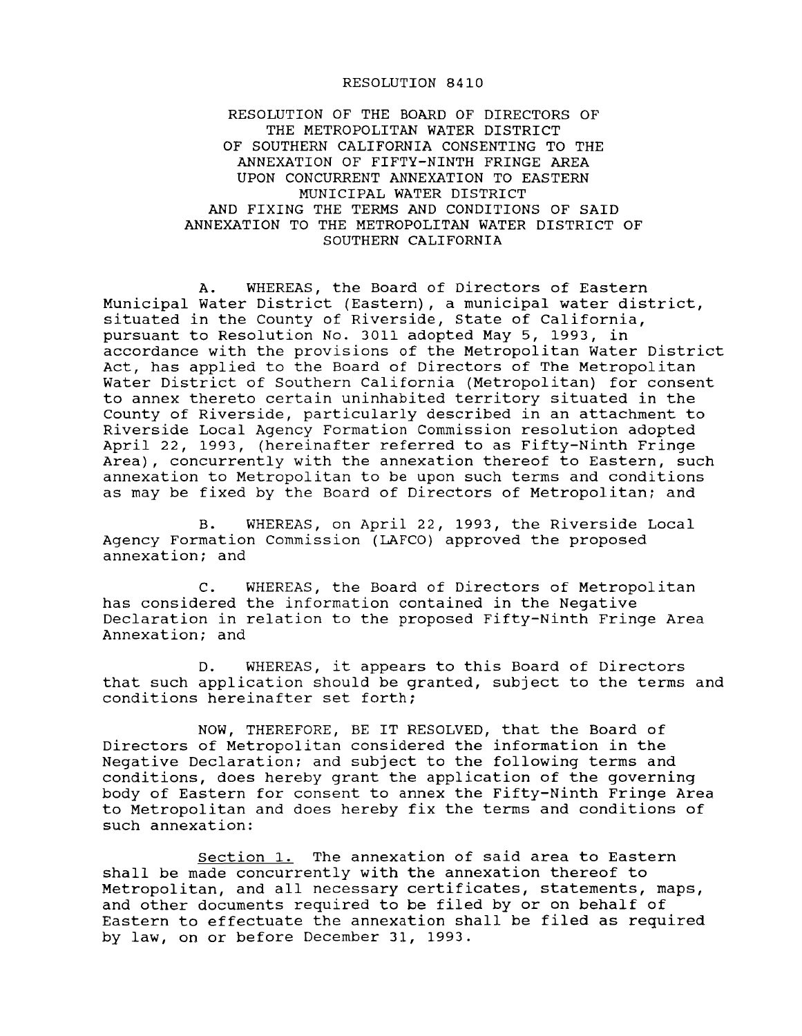## RESOLUTION 8410

RESOLUTION OF THE BOARD OF DIRECTORS OF THE METROPOLITAN WATER DISTRICT OF SOUTHERN CALIFORNIA CONSENTING TO THE ANNEXATION OF FIFTY-NINTH FRINGE AREA UPON CONCURRENT ANNEXATION TO EASTERN MUNICIPAL WATER DISTRICT AND FIXING THE TERMS AND CONDITIONS OF SAID ANNEXATION TO THE METROPOLITAN WATER DISTRICT OF SOUTHERN CALIFORNIA

A. WHEREAS, the Board of Directors of Eastern Municipal Water District (Eastern), <sup>a</sup> municipal water district, situated in the County of Riverside, state of California, pursuant to Resolution No. 3011 adopted May 5, 1993, in accordance with the provisions of the Metropolitan Water District Act, has applied to the Board of Directors of The Metropolitan Water District of Southern California (Metropolitan) for consent to annex thereto certain uninhabited territory situated in the County of Riverside, particularly described in an attachment to Riverside Local Agency Formation Commission resolution adopted April 22, 1993, (hereinafter referred to as Fifty-Ninth Fringe Area), concurrently with the annexation thereof to Eastern, such annexation to Metropolitan to be upon such terms and conditions as may be fixed by the Board of Directors of Metropolitan; and

B. WHEREAS, on April 22, 1993, the Riverside Local Agency Formation Commission (LAFCO) approved the proposed annexation; and

C. WHEREAS, the Board of Directors of Metropolitan has considered the information contained in the Negative Declaration in relation to the proposed Fifty-Ninth Fringe Area Annexation; and

D. WHEREAS, it appears to this Board of Directors that such application should be granted, subject to the terms and conditions hereinafter set forth;

NOW, THEREFORE, BE IT RESOLVED, that the Board of Directors of Metropolitan considered the information in the Negative Declaration; and subject to the following terms and conditions, does hereby grant the application of the governing body of Eastern for consent to annex the Fifty-Ninth Fringe Area to Metropolitan and does hereby fix the terms and conditions of such annexation:

section 1. The annexation of said area to Eastern shall be made concurrently with the annexation thereof to Metropolitan, and all necessary certificates, statements, maps, and other documents required to be filed by or on behalf of Eastern to effectuate the annexation shall be filed as required by law, on or before December 31, 1993.